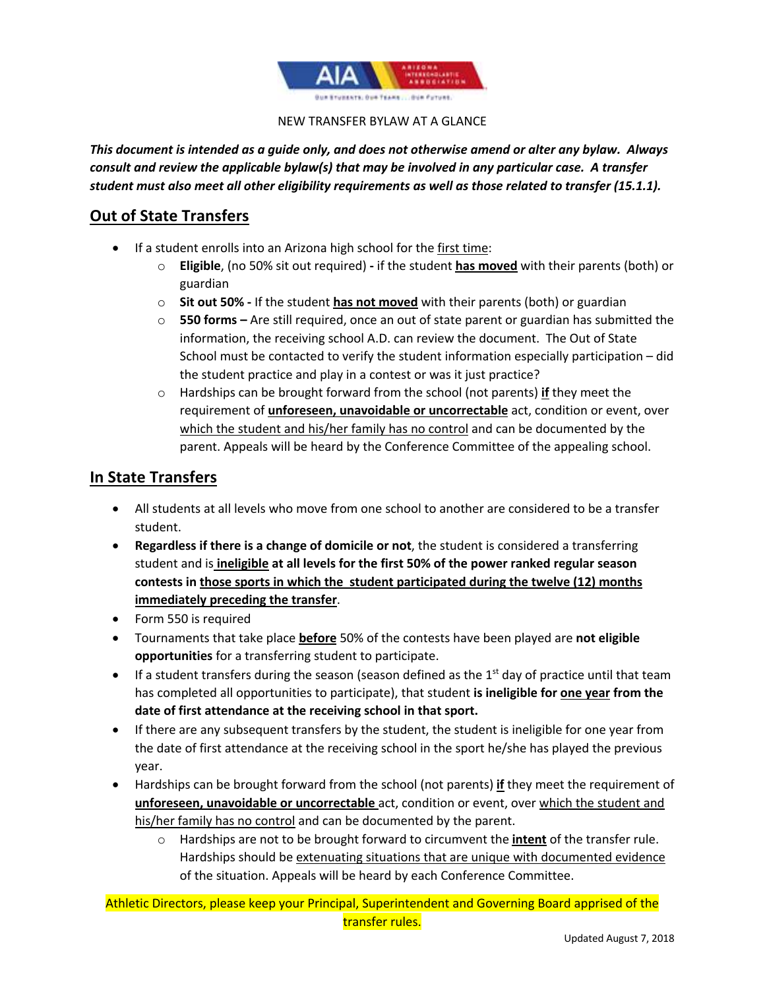

#### NEW TRANSFER BYLAW AT A GLANCE

*This document is intended as a guide only, and does not otherwise amend or alter any bylaw. Always consult and review the applicable bylaw(s) that may be involved in any particular case. A transfer student must also meet all other eligibility requirements as well as those related to transfer (15.1.1).*

# **Out of State Transfers**

- If a student enrolls into an Arizona high school for the first time:
	- o **Eligible**, (no 50% sit out required) **-** if the student **has moved** with their parents (both) or guardian
	- o **Sit out 50% -** If the student **has not moved** with their parents (both) or guardian
	- o **550 forms –** Are still required, once an out of state parent or guardian has submitted the information, the receiving school A.D. can review the document. The Out of State School must be contacted to verify the student information especially participation – did the student practice and play in a contest or was it just practice?
	- o Hardships can be brought forward from the school (not parents) **if** they meet the requirement of **unforeseen, unavoidable or uncorrectable** act, condition or event, over which the student and his/her family has no control and can be documented by the parent. Appeals will be heard by the Conference Committee of the appealing school.

# **In State Transfers**

- All students at all levels who move from one school to another are considered to be a transfer student.
- **Regardless if there is a change of domicile or not**, the student is considered a transferring student and is **ineligible at all levels for the first 50% of the power ranked regular season contests in those sports in which the student participated during the twelve (12) months immediately preceding the transfer**.
- Form 550 is required
- Tournaments that take place **before** 50% of the contests have been played are **not eligible opportunities** for a transferring student to participate.
- If a student transfers during the season (season defined as the  $1<sup>st</sup>$  day of practice until that team has completed all opportunities to participate), that student **is ineligible for one year from the date of first attendance at the receiving school in that sport.**
- If there are any subsequent transfers by the student, the student is ineligible for one year from the date of first attendance at the receiving school in the sport he/she has played the previous year.
- Hardships can be brought forward from the school (not parents) **if** they meet the requirement of **unforeseen, unavoidable or uncorrectable** act, condition or event, over which the student and his/her family has no control and can be documented by the parent.
	- o Hardships are not to be brought forward to circumvent the **intent** of the transfer rule. Hardships should be extenuating situations that are unique with documented evidence of the situation. Appeals will be heard by each Conference Committee.